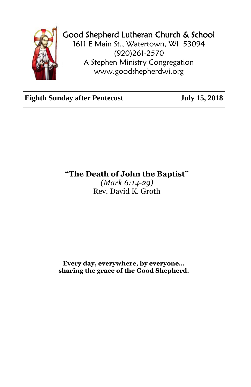

## Good Shepherd Lutheran Church & School

1611 E Main St., Watertown, WI 53094 (920)261-2570 A Stephen Ministry Congregation [www.goodshepherdwi.org](http://www.goodshepherdwi.org/)

**Eighth Sunday after Pentecost July 15, 2018**

**"The Death of John the Baptist"**

*(Mark 6:14-29)* Rev. David K. Groth

**Every day, everywhere, by everyone… sharing the grace of the Good Shepherd.**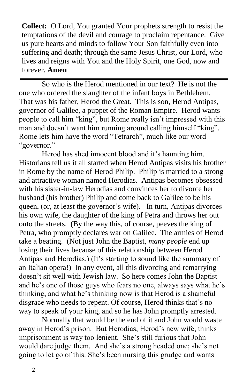**Collect:** O Lord, You granted Your prophets strength to resist the temptations of the devil and courage to proclaim repentance. Give us pure hearts and minds to follow Your Son faithfully even into suffering and death; through the same Jesus Christ, our Lord, who lives and reigns with You and the Holy Spirit, one God, now and forever. **Amen**

So who is the Herod mentioned in our text? He is not the one who ordered the slaughter of the infant boys in Bethlehem. That was his father, Herod the Great. This is son, Herod Antipas, governor of Galilee, a puppet of the Roman Empire. Herod wants people to call him "king", but Rome really isn't impressed with this man and doesn't want him running around calling himself "king". Rome lets him have the word "Tetrarch", much like our word "governor."

Herod has shed innocent blood and it's haunting him. Historians tell us it all started when Herod Antipas visits his brother in Rome by the name of Herod Philip. Philip is married to a strong and attractive woman named Herodias. Antipas becomes obsessed with his sister-in-law Herodias and convinces her to divorce her husband (his brother) Philip and come back to Galilee to be his queen, (or, at least the governor's wife). In turn, Antipas divorces his own wife, the daughter of the king of Petra and throws her out onto the streets. (By the way this, of course, peeves the king of Petra, who promptly declares war on Galilee. The armies of Herod take a beating. (Not just John the Baptist, *many people* end up losing their lives because of this relationship between Herod Antipas and Herodias.) (It's starting to sound like the summary of an Italian opera!) In any event, all this divorcing and remarrying doesn't sit well with Jewish law. So here comes John the Baptist and he's one of those guys who fears no one, always says what he's thinking, and what he's thinking now is that Herod is a shameful disgrace who needs to repent. Of course, Herod thinks that's no way to speak of your king, and so he has John promptly arrested.

Normally that would be the end of it and John would waste away in Herod's prison. But Herodias, Herod's new wife, thinks imprisonment is way too lenient. She's still furious that John would dare judge them. And she's a strong headed one; she's not going to let go of this. She's been nursing this grudge and wants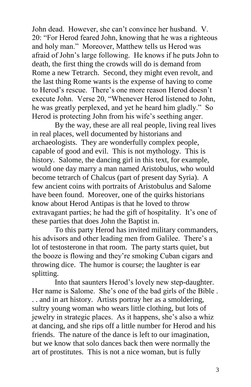John dead. However, she can't convince her husband. V. 20: "For Herod feared John, knowing that he was a righteous and holy man." Moreover, Matthew tells us Herod was afraid of John's large following. He knows if he puts John to death, the first thing the crowds will do is demand from Rome a new Tetrarch. Second, they might even revolt, and the last thing Rome wants is the expense of having to come to Herod's rescue. There's one more reason Herod doesn't execute John. Verse 20, "Whenever Herod listened to John, he was greatly perplexed, and yet he heard him gladly." So Herod is protecting John from his wife's seething anger.

By the way, these are all real people, living real lives in real places, well documented by historians and archaeologists. They are wonderfully complex people, capable of good and evil. This is not mythology. This is history. Salome, the dancing girl in this text, for example, would one day marry a man named Aristobulus, who would become tetrarch of Chalcus (part of present day Syria). A few ancient coins with portraits of Aristobulus and Salome have been found. Moreover, one of the quirks historians know about Herod Antipas is that he loved to throw extravagant parties; he had the gift of hospitality. It's one of these parties that does John the Baptist in.

To this party Herod has invited military commanders, his advisors and other leading men from Galilee. There's a lot of testosterone in that room. The party starts quiet, but the booze is flowing and they're smoking Cuban cigars and throwing dice. The humor is course; the laughter is ear splitting.

Into that saunters Herod's lovely new step-daughter. Her name is Salome. She's one of the bad girls of the Bible . . . and in art history. Artists portray her as a smoldering, sultry young woman who wears little clothing, but lots of jewelry in strategic places. As it happens, she's also a whiz at dancing, and she rips off a little number for Herod and his friends. The nature of the dance is left to our imagination, but we know that solo dances back then were normally the art of prostitutes. This is not a nice woman, but is fully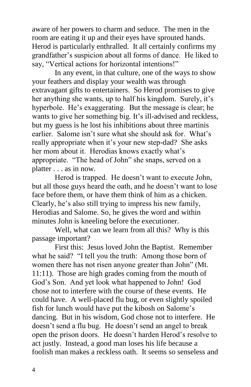aware of her powers to charm and seduce. The men in the room are eating it up and their eyes have sprouted hands. Herod is particularly enthralled. It all certainly confirms my grandfather's suspicion about all forms of dance. He liked to say, "Vertical actions for horizontal intentions!"

In any event, in that culture, one of the ways to show your feathers and display your wealth was through extravagant gifts to entertainers. So Herod promises to give her anything she wants, up to half his kingdom. Surely, it's hyperbole. He's exaggerating. But the message is clear; he wants to give her something big. It's ill-advised and reckless, but my guess is he lost his inhibitions about three martinis earlier. Salome isn't sure what she should ask for. What's really appropriate when it's your new step-dad? She asks her mom about it. Herodias knows exactly what's appropriate. "The head of John" she snaps, served on a platter . . . as in now.

Herod is trapped. He doesn't want to execute John, but all those guys heard the oath, and he doesn't want to lose face before them, or have them think of him as a chicken. Clearly, he's also still trying to impress his new family, Herodias and Salome. So, he gives the word and within minutes John is kneeling before the executioner.

Well, what can we learn from all this? Why is this passage important?

First this: Jesus loved John the Baptist. Remember what he said? "I tell you the truth: Among those born of women there has not risen anyone greater than John" (Mt. 11:11). Those are high grades coming from the mouth of God's Son. And yet look what happened to John! God chose not to interfere with the course of these events. He could have. A well-placed flu bug, or even slightly spoiled fish for lunch would have put the kibosh on Salome's dancing. But in his wisdom, God chose not to interfere. He doesn't send a flu bug. He doesn't send an angel to break open the prison doors. He doesn't harden Herod's resolve to act justly. Instead, a good man loses his life because a foolish man makes a reckless oath. It seems so senseless and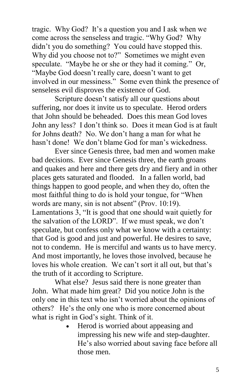tragic. Why God? It's a question you and I ask when we come across the senseless and tragic. "Why God? Why didn't you do something? You could have stopped this. Why did you choose not to?" Sometimes we might even speculate. "Maybe he or she or they had it coming." Or, "Maybe God doesn't really care, doesn't want to get involved in our messiness." Some even think the presence of senseless evil disproves the existence of God.

Scripture doesn't satisfy all our questions about suffering, nor does it invite us to speculate. Herod orders that John should be beheaded. Does this mean God loves John any less? I don't think so. Does it mean God is at fault for Johns death? No. We don't hang a man for what he hasn't done! We don't blame God for man's wickedness.

Ever since Genesis three, bad men and women make bad decisions. Ever since Genesis three, the earth groans and quakes and here and there gets dry and fiery and in other places gets saturated and flooded. In a fallen world, bad things happen to good people, and when they do, often the most faithful thing to do is hold your tongue, for "When words are many, sin is not absent" (Prov. 10:19). Lamentations 3, "It is good that one should wait quietly for the salvation of the LORD". If we must speak, we don't speculate, but confess only what we know with a certainty: that God is good and just and powerful. He desires to save, not to condemn. He is merciful and wants us to have mercy. And most importantly, he loves those involved, because he loves his whole creation. We can't sort it all out, but that's the truth of it according to Scripture.

What else? Jesus said there is none greater than John. What made him great? Did you notice John is the only one in this text who isn't worried about the opinions of others? He's the only one who is more concerned about what is right in God's sight. Think of it.

 Herod is worried about appeasing and impressing his new wife and step-daughter. He's also worried about saving face before all those men.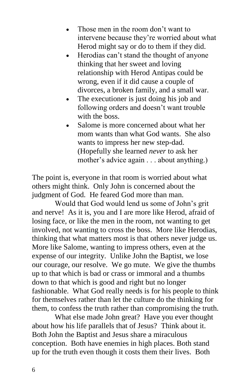- Those men in the room don't want to intervene because they're worried about what Herod might say or do to them if they did.
- Herodias can't stand the thought of anyone thinking that her sweet and loving relationship with Herod Antipas could be wrong, even if it did cause a couple of divorces, a broken family, and a small war.
- The executioner is just doing his job and following orders and doesn't want trouble with the boss.
- Salome is more concerned about what her mom wants than what God wants. She also wants to impress her new step-dad. (Hopefully she learned *never* to ask her mother's advice again . . . about anything.)

The point is, everyone in that room is worried about what others might think. Only John is concerned about the judgment of God. He feared God more than man.

Would that God would lend us some of John's grit and nerve! As it is, you and I are more like Herod, afraid of losing face, or like the men in the room, not wanting to get involved, not wanting to cross the boss. More like Herodias, thinking that what matters most is that others never judge us. More like Salome, wanting to impress others, even at the expense of our integrity. Unlike John the Baptist, we lose our courage, our resolve. We go mute. We give the thumbs up to that which is bad or crass or immoral and a thumbs down to that which is good and right but no longer fashionable. What God really needs is for his people to think for themselves rather than let the culture do the thinking for them, to confess the truth rather than compromising the truth.

 What else made John great? Have you ever thought about how his life parallels that of Jesus? Think about it. Both John the Baptist and Jesus share a miraculous conception. Both have enemies in high places. Both stand up for the truth even though it costs them their lives. Both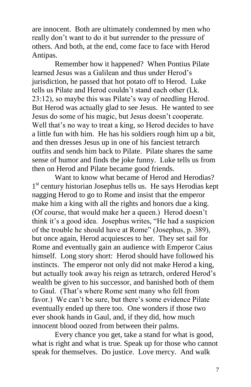are innocent. Both are ultimately condemned by men who really don't want to do it but surrender to the pressure of others. And both, at the end, come face to face with Herod Antipas.

Remember how it happened? When Pontius Pilate learned Jesus was a Galilean and thus under Herod's jurisdiction, he passed that hot potato off to Herod. Luke tells us Pilate and Herod couldn't stand each other (Lk. 23:12), so maybe this was Pilate's way of needling Herod. But Herod was actually glad to see Jesus. He wanted to see Jesus do some of his magic, but Jesus doesn't cooperate. Well that's no way to treat a king, so Herod decides to have a little fun with him. He has his soldiers rough him up a bit, and then dresses Jesus up in one of his fanciest tetrarch outfits and sends him back to Pilate. Pilate shares the same sense of humor and finds the joke funny. Luke tells us from then on Herod and Pilate became good friends.

Want to know what became of Herod and Herodias? 1<sup>st</sup> century historian Josephus tells us. He says Herodias kept nagging Herod to go to Rome and insist that the emperor make him a king with all the rights and honors due a king. (Of course, that would make her a queen.) Herod doesn't think it's a good idea. Josephus writes, "He had a suspicion of the trouble he should have at Rome" (Josephus, p. 389), but once again, Herod acquiesces to her. They set sail for Rome and eventually gain an audience with Emperor Caius himself. Long story short: Herod should have followed his instincts. The emperor not only did not make Herod a king, but actually took away his reign as tetrarch, ordered Herod's wealth be given to his successor, and banished both of them to Gaul. (That's where Rome sent many who fell from favor.) We can't be sure, but there's some evidence Pilate eventually ended up there too. One wonders if those two ever shook hands in Gaul, and, if they did, how much innocent blood oozed from between their palms.

Every chance you get, take a stand for what is good, what is right and what is true. Speak up for those who cannot speak for themselves. Do justice. Love mercy. And walk